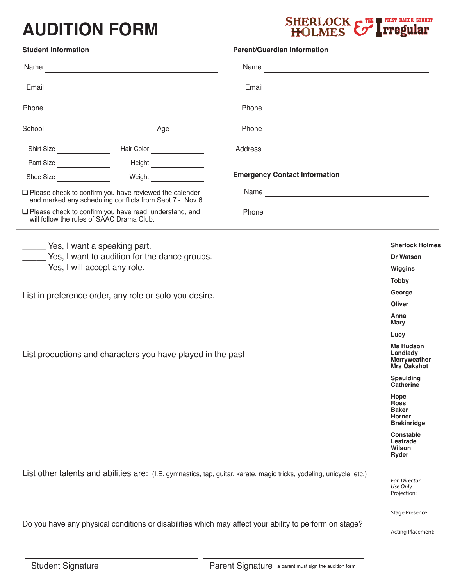## **AUDITION FORM**



| <b>Student Information</b>                                                                                                   |                                                                           |                               | <b>Parent/Guardian Information</b>   |                                                        |  |  |  |
|------------------------------------------------------------------------------------------------------------------------------|---------------------------------------------------------------------------|-------------------------------|--------------------------------------|--------------------------------------------------------|--|--|--|
| Name                                                                                                                         |                                                                           |                               |                                      |                                                        |  |  |  |
| Email <u>Communication</u>                                                                                                   |                                                                           |                               |                                      |                                                        |  |  |  |
|                                                                                                                              |                                                                           |                               |                                      |                                                        |  |  |  |
|                                                                                                                              |                                                                           |                               |                                      |                                                        |  |  |  |
| Shirt Size                                                                                                                   |                                                                           | Hair Color                    |                                      |                                                        |  |  |  |
| Pant Size                                                                                                                    |                                                                           | Height ________________       |                                      |                                                        |  |  |  |
| Shoe Size <b>Show</b> Shoe Size                                                                                              |                                                                           | Weight                        | <b>Emergency Contact Information</b> |                                                        |  |  |  |
| $\square$ Please check to confirm you have reviewed the calender<br>and marked any scheduling conflicts from Sept 7 - Nov 6. |                                                                           |                               |                                      |                                                        |  |  |  |
| $\Box$ Please check to confirm you have read, understand, and<br>will follow the rules of SAAC Drama Club.                   |                                                                           |                               |                                      |                                                        |  |  |  |
| ______ Yes, I want a speaking part.                                                                                          |                                                                           |                               |                                      | <b>Sherlock Holmes</b>                                 |  |  |  |
| _____ Yes, I want to audition for the dance groups.                                                                          | <b>Dr Watson</b>                                                          |                               |                                      |                                                        |  |  |  |
| Yes, I will accept any role.                                                                                                 | Wiggins                                                                   |                               |                                      |                                                        |  |  |  |
|                                                                                                                              |                                                                           |                               |                                      | <b>Tobby</b>                                           |  |  |  |
| List in preference order, any role or solo you desire.                                                                       |                                                                           | George                        |                                      |                                                        |  |  |  |
|                                                                                                                              |                                                                           | <b>Oliver</b>                 |                                      |                                                        |  |  |  |
|                                                                                                                              | Anna<br>Mary                                                              |                               |                                      |                                                        |  |  |  |
|                                                                                                                              |                                                                           | Lucy                          |                                      |                                                        |  |  |  |
| List productions and characters you have played in the past                                                                  | <b>Ms Hudson</b><br>Landlady<br><b>Merryweather</b><br><b>Mrs Oakshot</b> |                               |                                      |                                                        |  |  |  |
|                                                                                                                              |                                                                           | Spaulding<br><b>Catherine</b> |                                      |                                                        |  |  |  |
|                                                                                                                              | Hope<br><b>Ross</b><br><b>Baker</b><br>Horner<br><b>Brekinridge</b>       |                               |                                      |                                                        |  |  |  |
|                                                                                                                              |                                                                           |                               |                                      | <b>Constable</b><br>Lestrade<br>Wilson<br><b>Ryder</b> |  |  |  |
| List other talents and abilities are: (I.E. gymnastics, tap, guitar, karate, magic tricks, yodeling, unicycle, etc.)         |                                                                           |                               |                                      |                                                        |  |  |  |
|                                                                                                                              | <b>Stage Presence:</b>                                                    |                               |                                      |                                                        |  |  |  |
| Do you have any physical conditions or disabilities which may affect your ability to perform on stage?                       |                                                                           |                               |                                      |                                                        |  |  |  |